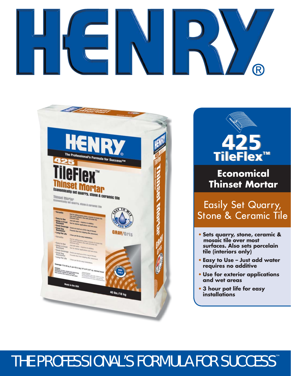# R





## **Economical Thinset Mortar**

Easily Set Quarry, Stone & Ceramic Tile

- **• Sets quarry, stone, ceramic & mosaic tile over most surfaces. Also sets porcelain tile (interiors only)**
- **• Easy to Use Just add water requires no additive**
- **• Use for exterior applications and wet areas**
- **• 3 hour pot life for easy installations**

# THE PROFESSIONAL'S FORMULA FOR SUCCESS™